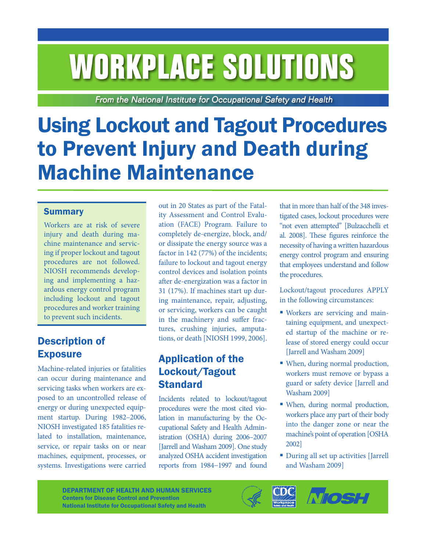# **WORKPLACE SOLUTIONS**

From the National Institute for Occupational Safety and Health

# Using Lockout and Tagout Procedures to Prevent Injury and Death during Machine Maintenance

#### **Summary**

Workers are at risk of severe injury and death during machine maintenance and servicing if proper lockout and tagout procedures are not followed. NIOSH recommends developing and implementing a hazardous energy control program including lockout and tagout procedures and worker training to prevent such incidents.

# Description of Exposure

Machine-related injuries or fatalities can occur during maintenance and servicing tasks when workers are exposed to an uncontrolled release of energy or during unexpected equipment startup. During 1982–2006, NIOSH investigated 185 fatalities related to installation, maintenance, service, or repair tasks on or near machines, equipment, processes, or systems. Investigations were carried

out in 20 States as part of the Fatality Assessment and Control Evaluation (FACE) Program. Failure to completely de-energize, block, and/ or dissipate the energy source was a factor in 142 (77%) of the incidents; failure to lockout and tagout energy control devices and isolation points after de-energization was a factor in 31 (17%). If machines start up during maintenance, repair, adjusting, or servicing, workers can be caught in the machinery and suffer fractures, crushing injuries, amputations, or death [NIOSH 1999, 2006].

# Application of the Lockout/Tagout **Standard**

Incidents related to lockout/tagout procedures were the most cited violation in manufacturing by the Occupational Safety and Health Administration (OSHA) during 2006–2007 [Jarrell and Washam 2009]. One study analyzed OSHA accident investigation reports from 1984−1997 and found that in more than half of the 348 investigated cases, lockout procedures were "not even attempted" [Bulzacchelli et al. 2008]. These figures reinforce the necessity of having a written hazardous energy control program and ensuring that employees understand and follow the procedures.

Lockout/tagout procedures APPLY in the following circumstances:

- Workers are servicing and maintaining equipment, and unexpected startup of the machine or release of stored energy could occur [Jarrell and Washam 2009]
- When, during normal production, workers must remove or bypass a guard or safety device [Jarrell and Washam 2009]
- When, during normal production, workers place any part of their body into the danger zone or near the machine's point of operation [OSHA 2002]
- During all set up activities [Jarrell and Washam 2009]



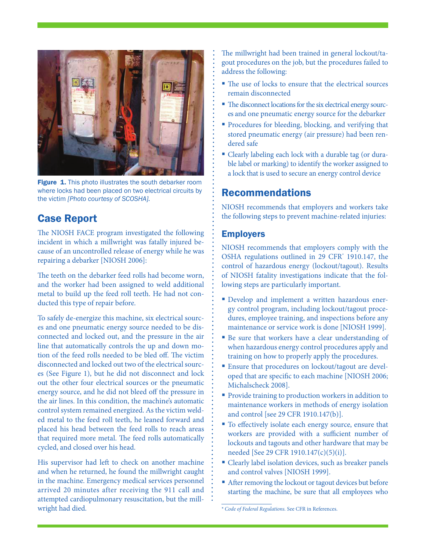

Figure 1. This photo illustrates the south debarker room where locks had been placed on two electrical circuits by the victim *[Photo courtesy of SCOSHA].*

# Case Report

The NIOSH FACE program investigated the following incident in which a millwright was fatally injured because of an uncontrolled release of energy while he was repairing a debarker [NIOSH 2006]:

The teeth on the debarker feed rolls had become worn, and the worker had been assigned to weld additional metal to build up the feed roll teeth. He had not conducted this type of repair before.

To safely de-energize this machine, six electrical sources and one pneumatic energy source needed to be disconnected and locked out, and the pressure in the air line that automatically controls the up and down motion of the feed rolls needed to be bled off. The victim disconnected and locked out two of the electrical sources (See Figure 1), but he did not disconnect and lock out the other four electrical sources or the pneumatic energy source, and he did not bleed off the pressure in the air lines. In this condition, the machine's automatic control system remained energized. As the victim welded metal to the feed roll teeth, he leaned forward and placed his head between the feed rolls to reach areas that required more metal. The feed rolls automatically cycled, and closed over his head.

His supervisor had left to check on another machine and when he returned, he found the millwright caught in the machine. Emergency medical services personnel arrived 20 minutes after receiving the 911 call and attempted cardiopulmonary resuscitation, but the millwright had died.

The millwright had been trained in general lockout/tagout procedures on the job, but the procedures failed to address the following:

- The use of locks to ensure that the electrical sources remain disconnected
- The disconnect locations for the six electrical energy sources and one pneumatic energy source for the debarker
- **Procedures for bleeding, blocking, and verifying that** stored pneumatic energy (air pressure) had been rendered safe
- Clearly labeling each lock with a durable tag (or durable label or marking) to identify the worker assigned to a lock that is used to secure an energy control device

# Recommendations

NIOSH recommends that employers and workers take the following steps to prevent machine-related injuries:

#### **Employers**

NIOSH recommends that employers comply with the OSHA regulations outlined in 29 CFR\* 1910.147, the control of hazardous energy (lockout/tagout). Results of NIOSH fatality investigations indicate that the following steps are particularly important.

- Develop and implement a written hazardous energy control program, including lockout/tagout procedures, employee training, and inspections before any maintenance or service work is done [NIOSH 1999].
- Be sure that workers have a clear understanding of when hazardous energy control procedures apply and training on how to properly apply the procedures.
- Ensure that procedures on lockout/tagout are developed that are specific to each machine [NIOSH 2006; Michalscheck 2008].
- **Provide training to production workers in addition to** maintenance workers in methods of energy isolation and control [see 29 CFR 1910.147(b)].
- $\blacksquare$  To effectively isolate each energy source, ensure that workers are provided with a sufficient number of lockouts and tagouts and other hardware that may be needed [See 29 CFR 1910.147(c)(5)(i)].
- Clearly label isolation devices, such as breaker panels and control valves [NIOSH 1999].
- After removing the lockout or tagout devices but before starting the machine, be sure that all employees who

<sup>\*</sup> *Code of Federal Regulations.* See CFR in References.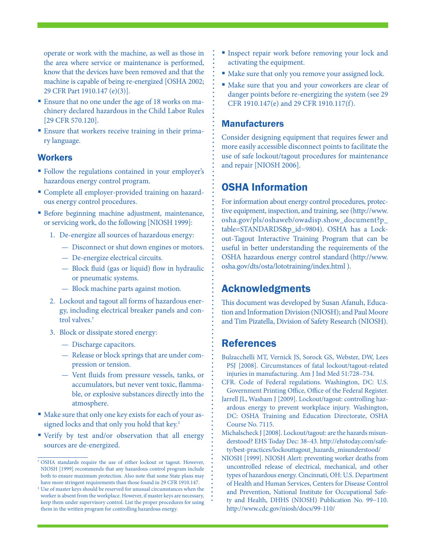operate or work with the machine, as well as those in the area where service or maintenance is performed, know that the devices have been removed and that the machine is capable of being re-energized [OSHA 2002; 29 CFR Part 1910.147 (e)(3)].

- Ensure that no one under the age of 18 works on machinery declared hazardous in the Child Labor Rules [29 CFR 570.120].
- Ensure that workers receive training in their primary language.

#### **Workers**

- Follow the regulations contained in your employer's hazardous energy control program.
- Complete all employer-provided training on hazardous energy control procedures.
- **Before beginning machine adjustment, maintenance,** or servicing work, do the following [NIOSH 1999]:
	- 1. De-energize all sources of hazardous energy:
		- Disconnect or shut down engines or motors.
		- De-energize electrical circuits.
		- Block fluid (gas or liquid) flow in hydraulic or pneumatic systems.
		- Block machine parts against motion.
	- 2. Lockout and tagout all forms of hazardous energy, including electrical breaker panels and control valves.†
	- 3. Block or dissipate stored energy:
		- Discharge capacitors.
		- Release or block springs that are under compression or tension.
		- Vent fluids from pressure vessels, tanks, or accumulators, but never vent toxic, flammable, or explosive substances directly into the atmosphere.
- Make sure that only one key exists for each of your assigned locks and that only you hold that key.‡
- Verify by test and/or observation that all energy sources are de-energized.
- **Inspect repair work before removing your lock and** activating the equipment.
- Make sure that only you remove your assigned lock.
- Make sure that you and your coworkers are clear of danger points before re-energizing the system (see 29 CFR 1910.147(e) and 29 CFR 1910.117(f).

#### Manufacturers

Consider designing equipment that requires fewer and more easily accessible disconnect points to facilitate the use of safe lockout/tagout procedures for maintenance and repair [NIOSH 2006].

# OSHA Information

For information about energy control procedures, protective equipment, inspection, and training, see (http://www. osha.gov/pls/oshaweb/owadisp.show\_document?p\_ table=STANDARDS&p\_id=9804). OSHA has a Lockout-Tagout Interactive Training Program that can be useful in better understanding the requirements of the OSHA hazardous energy control standard (http://www. osha.gov/dts/osta/lototraining/index.html ).

#### Acknowledgments

This document was developed by Susan Afanuh, Education and Information Division (NIOSH); and Paul Moore and Tim Pizatella, Division of Safety Research (NIOSH).

# References

- Bulzacchelli MT, Vernick JS, Sorock GS, Webster, DW, Lees PSJ [2008]. Circumstances of fatal lockout/tagout-related injuries in manufacturing. Am J Ind Med 51:728–734.
- CFR. Code of Federal regulations. Washington, DC: U.S. Government Printing Office, Office of the Federal Register.
- Jarrell JL, Washam J [2009]. Lockout/tagout: controlling hazardous energy to prevent workplace injury. Washington, DC: OSHA Training and Education Directorate, OSHA Course No. 7115.

Michalscheck J [2008]. Lockout/tagout: are the hazards misunderstood? EHS Today Dec: 38–43. http://ehstoday.com/safety/best-practices/lockouttagout\_hazards\_misunderstood/

NIOSH [1999]. NIOSH Alert: preventing worker deaths from uncontrolled release of electrical, mechanical, and other types of hazardous energy. Cincinnati, OH: U.S. Department of Health and Human Services, Centers for Disease Control and Prevention, National Institute for Occupational Safety and Health, DHHS (NIOSH) Publication No. 99−110. http://www.cdc.gov/niosh/docs/99-110/

<sup>†</sup> OSHA standards require the use of either lockout or tagout. However, NIOSH [1999] recommends that any hazardous control program include both to ensure maximum protection. Also note that some State plans may have more stringent requirements than those found in 29 CFR 1910.147.

<sup>‡</sup> Use of master keys should be reserved for unusual circumstances when the worker is absent from the workplace. However, if master keys are necessary, keep them under supervisory control. List the proper procedures for using them in the written program for controlling hazardous energy.